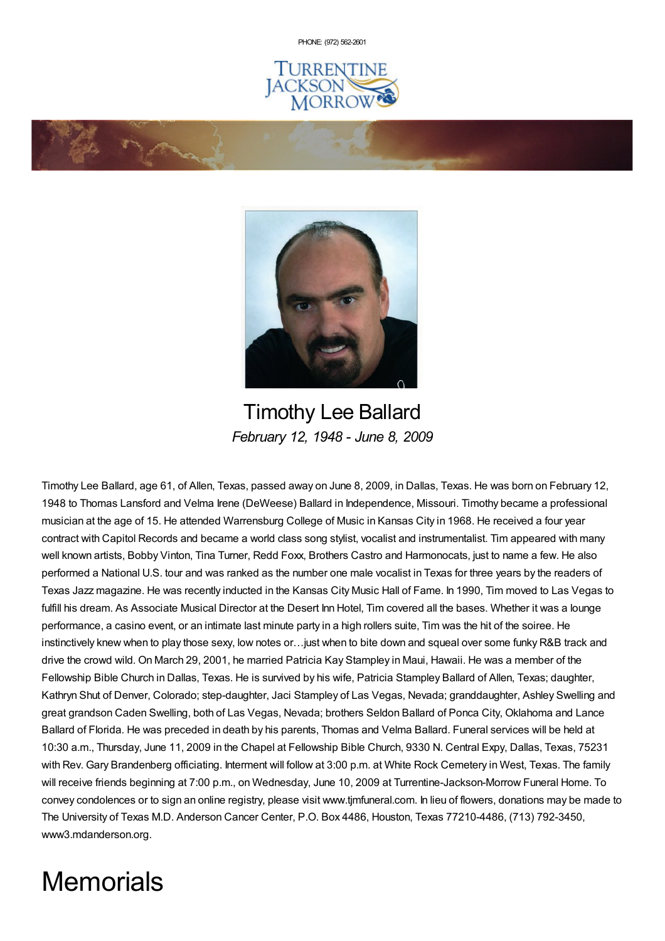PHONE: (972) [562-2601](tel:(972) 562-2601)







Timothy Lee Ballard *February 12, 1948 - June 8, 2009*

Timothy Lee Ballard, age 61, of Allen, Texas, passed away on June 8, 2009, in Dallas, Texas. He was born on February 12, 1948 to Thomas Lansford and Velma Irene (DeWeese) Ballard in Independence, Missouri. Timothy became a professional musician at the age of 15. He attended Warrensburg College of Music in Kansas City in 1968. He received a four year contract with Capitol Records and became a world class song stylist, vocalist and instrumentalist. Tim appeared with many well known artists, Bobby Vinton, Tina Turner, Redd Foxx, Brothers Castro and Harmonocats, just to name a few. He also performed a National U.S. tour and was ranked as the number one male vocalist in Texas for three years by the readers of Texas Jazz magazine. He was recently inducted in the Kansas City Music Hall of Fame. In 1990, Tim moved to Las Vegas to fulfill his dream. As Associate Musical Director at the Desert Inn Hotel, Tim covered all the bases. Whether it was a lounge performance, a casino event, or an intimate last minute party in a high rollers suite, Tim was the hit of the soiree. He instinctively knew when to play those sexy, low notes or…just when to bite down and squeal over some funky R&B track and drive the crowd wild. On March 29, 2001, he married Patricia Kay Stampley in Maui, Hawaii. He was a member of the Fellowship Bible Church in Dallas, Texas. He is survived by his wife, Patricia Stampley Ballard of Allen, Texas; daughter, Kathryn Shut of Denver, Colorado; step-daughter, Jaci Stampley of Las Vegas, Nevada; granddaughter, Ashley Swelling and great grandson Caden Swelling, both of Las Vegas, Nevada; brothers Seldon Ballard of Ponca City, Oklahoma and Lance Ballard of Florida. He was preceded in death by his parents, Thomas and Velma Ballard. Funeral services will be held at 10:30 a.m., Thursday, June 11, 2009 in the Chapel at Fellowship Bible Church, 9330 N. Central Expy, Dallas, Texas, 75231 with Rev. Gary Brandenberg officiating. Interment will follow at 3:00 p.m. at White Rock Cemetery in West, Texas. The family will receive friends beginning at 7:00 p.m., on Wednesday, June 10, 2009 at Turrentine-Jackson-Morrow Funeral Home. To convey condolences or to sign an online registry, please visit www.tjmfuneral.com. In lieu of flowers, donations may be made to The University of Texas M.D. Anderson Cancer Center, P.O. Box 4486, Houston, Texas 77210-4486, (713) 792-3450, www3.mdanderson.org.

# **Memorials**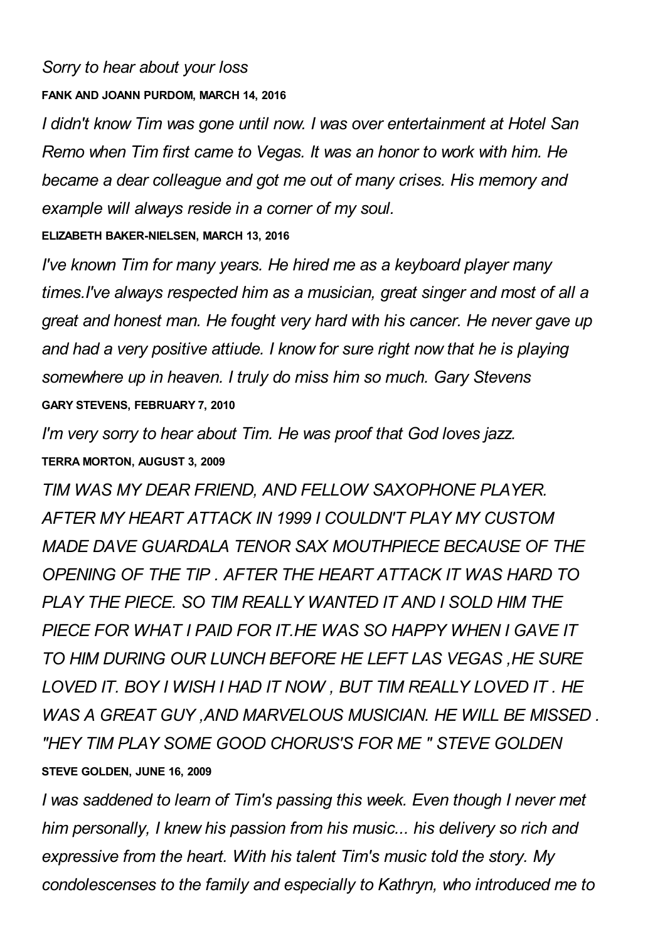## *Sorry to hear about your loss*

#### **FANK AND JOANN PURDOM, MARCH 14, 2016**

*I didn't know Tim was gone until now. I was over entertainment at Hotel San Remo when Tim first came to Vegas. It was an honor to work with him. He became a dear colleague and got me out of many crises. His memory and example will always reside in a corner of my soul.*

## **ELIZABETH BAKER-NIELSEN, MARCH 13, 2016**

*I've known Tim for many years. He hired me as a keyboard player many times.I've always respected him as a musician, great singer and most of all a great and honest man. He fought very hard with his cancer. He never gave up and had a very positive attiude. I know for sure right now that he is playing somewhere up in heaven. I truly do miss him so much. Gary Stevens* **GARY STEVENS, FEBRUARY 7, 2010**

*I'm very sorry to hear about Tim. He was proof that God loves jazz.* **TERRA MORTON, AUGUST 3, 2009**

*TIM WAS MY DEAR FRIEND, AND FELLOW SAXOPHONE PLAYER. AFTER MY HEART ATTACK IN 1999 I COULDN'T PLAY MY CUSTOM MADE DAVE GUARDALA TENOR SAX MOUTHPIECE BECAUSE OF THE OPENING OF THE TIP . AFTER THE HEART ATTACK IT WAS HARD TO PLAY THE PIECE. SO TIM REALLY WANTED IT AND I SOLD HIM THE PIECE FOR WHAT I PAID FOR IT.HE WAS SO HAPPY WHEN I GAVE IT TO HIM DURING OUR LUNCH BEFORE HE LEFT LAS VEGAS ,HE SURE LOVED IT. BOY I WISH I HAD IT NOW , BUT TIM REALLY LOVED IT . HE WAS A GREAT GUY ,AND MARVELOUS MUSICIAN. HE WILL BE MISSED . "HEY TIM PLAY SOME GOOD CHORUS'S FOR ME " STEVE GOLDEN* **STEVE GOLDEN, JUNE 16, 2009**

*I was saddened to learn of Tim's passing this week. Even though I never met him personally, I knew his passion from his music... his delivery so rich and expressive from the heart. With his talent Tim's music told the story. My condolescenses to the family and especially to Kathryn, who introduced me to*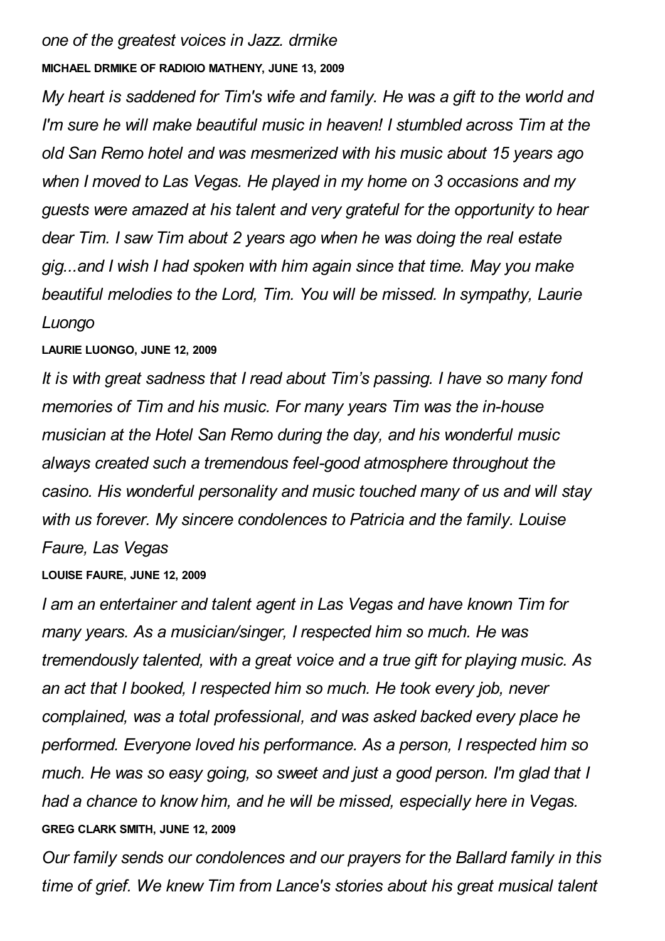## *one of the greatest voices in Jazz. drmike*

### **MICHAEL DRMIKE OF RADIOIO MATHENY, JUNE 13, 2009**

*My heart is saddened for Tim's wife and family. He was a gift to the world and I'm sure he will make beautiful music in heaven! I stumbled across Tim at the old San Remo hotel and was mesmerized with his music about 15 years ago when I moved to Las Vegas. He played in my home on 3 occasions and my guests were amazed at his talent and very grateful for the opportunity to hear dear Tim. I saw Tim about 2 years ago when he was doing the real estate gig...and I wish I had spoken with him again since that time. May you make beautiful melodies to the Lord, Tim. You will be missed. In sympathy, Laurie Luongo*

## **LAURIE LUONGO, JUNE 12, 2009**

*It is with great sadness that I read about Tim's passing. I have so many fond memories of Tim and his music. For many years Tim was the in-house musician at the Hotel San Remo during the day, and his wonderful music always created such a tremendous feel-good atmosphere throughout the casino. His wonderful personality and music touched many of us and will stay with us forever. My sincere condolences to Patricia and the family. Louise Faure, Las Vegas*

## **LOUISE FAURE, JUNE 12, 2009**

*I am an entertainer and talent agent in Las Vegas and have known Tim for many years. As a musician/singer, I respected him so much. He was tremendously talented, with a great voice and a true gift for playing music. As an act that I booked, I respected him so much. He took every job, never complained, was a total professional, and was asked backed every place he performed. Everyone loved his performance. As a person, I respected him so much. He was so easy going, so sweet and just a good person. I'm glad that I had a chance to know him, and he will be missed, especially here in Vegas.* **GREG CLARK SMITH, JUNE 12, 2009**

*Our family sends our condolences and our prayers for the Ballard family in this time of grief. We knew Tim from Lance's stories about his great musical talent*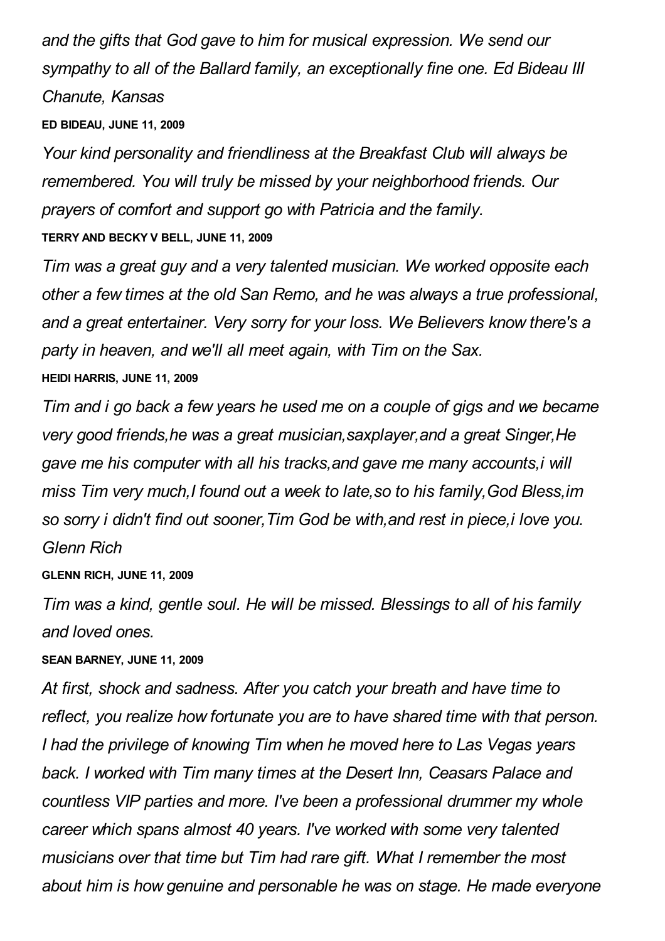*and the gifts that God gave to him for musical expression. We send our sympathy to all of the Ballard family, an exceptionally fine one. Ed Bideau III Chanute, Kansas*

#### **ED BIDEAU, JUNE 11, 2009**

*Your kind personality and friendliness at the Breakfast Club will always be remembered. You will truly be missed by your neighborhood friends. Our prayers of comfort and support go with Patricia and the family.*

## **TERRY AND BECKY V BELL, JUNE 11, 2009**

*Tim was a great guy and a very talented musician. We worked opposite each other a few times at the old San Remo, and he was always a true professional, and a great entertainer. Very sorry for your loss. We Believers know there's a party in heaven, and we'll all meet again, with Tim on the Sax.* **HEIDI HARRIS, JUNE 11, 2009**

*Tim and i go back a few years he used me on a couple of gigs and we became very good friends,he was a great musician,saxplayer,and a great Singer,He gave me his computer with all his tracks,and gave me many accounts,i will miss Tim very much,I found out a week to late,so to his family,God Bless,im so sorry i didn't find out sooner,Tim God be with,and rest in piece,i love you. Glenn Rich*

**GLENN RICH, JUNE 11, 2009**

*Tim was a kind, gentle soul. He will be missed. Blessings to all of his family and loved ones.*

### **SEAN BARNEY, JUNE 11, 2009**

*At first, shock and sadness. After you catch your breath and have time to reflect, you realize how fortunate you are to have shared time with that person. I had the privilege of knowing Tim when he moved here to Las Vegas years back. I worked with Tim many times at the Desert Inn, Ceasars Palace and countless VIP parties and more. I've been a professional drummer my whole career which spans almost 40 years. I've worked with some very talented musicians over that time but Tim had rare gift. What I remember the most about him is how genuine and personable he was on stage. He made everyone*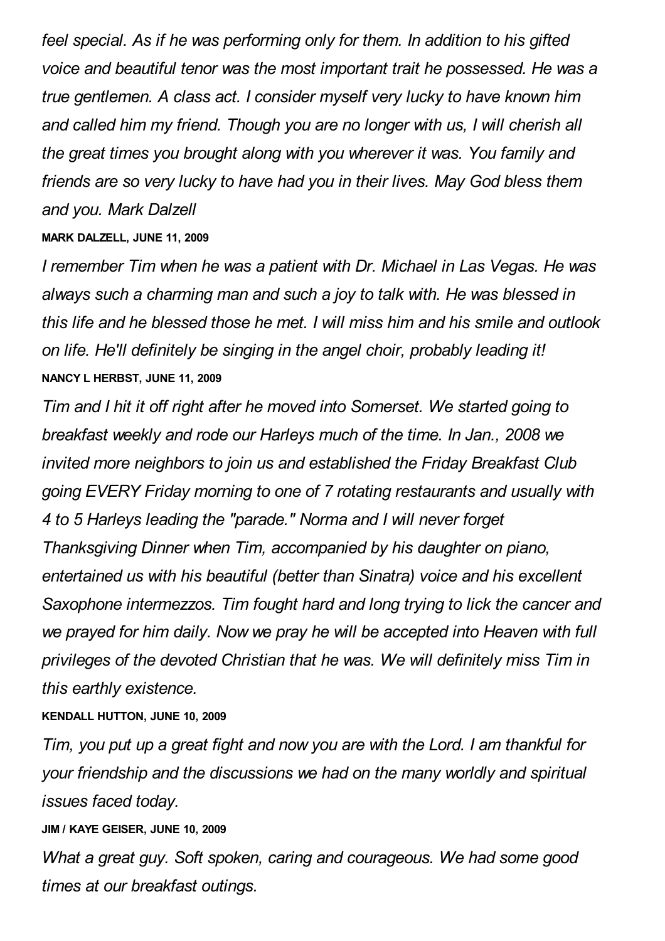*feel special. As if he was performing only for them. In addition to his gifted voice and beautiful tenor was the most important trait he possessed. He was a true gentlemen. A class act. I consider myself very lucky to have known him and called him my friend. Though you are no longer with us, I will cherish all the great times you brought along with you wherever it was. You family and friends are so very lucky to have had you in their lives. May God bless them and you. Mark Dalzell*

#### **MARK DALZELL, JUNE 11, 2009**

*I remember Tim when he was a patient with Dr. Michael in Las Vegas. He was always such a charming man and such a joy to talk with. He was blessed in this life and he blessed those he met. I will miss him and his smile and outlook on life. He'll definitely be singing in the angel choir, probably leading it!* **NANCY L HERBST, JUNE 11, 2009**

*Tim and I hit it off right after he moved into Somerset. We started going to breakfast weekly and rode our Harleys much of the time. In Jan., 2008 we invited more neighbors to join us and established the Friday Breakfast Club going EVERY Friday morning to one of 7 rotating restaurants and usually with 4 to 5 Harleys leading the "parade." Norma and I will never forget Thanksgiving Dinner when Tim, accompanied by his daughter on piano, entertained us with his beautiful (better than Sinatra) voice and his excellent Saxophone intermezzos. Tim fought hard and long trying to lick the cancer and we prayed for him daily. Now we pray he will be accepted into Heaven with full privileges of the devoted Christian that he was. We will definitely miss Tim in this earthly existence.*

### **KENDALL HUTTON, JUNE 10, 2009**

*Tim, you put up a great fight and now you are with the Lord. I am thankful for your friendship and the discussions we had on the many worldly and spiritual issues faced today.*

#### **JIM / KAYE GEISER, JUNE 10, 2009**

*What a great guy. Soft spoken, caring and courageous. We had some good times at our breakfast outings.*